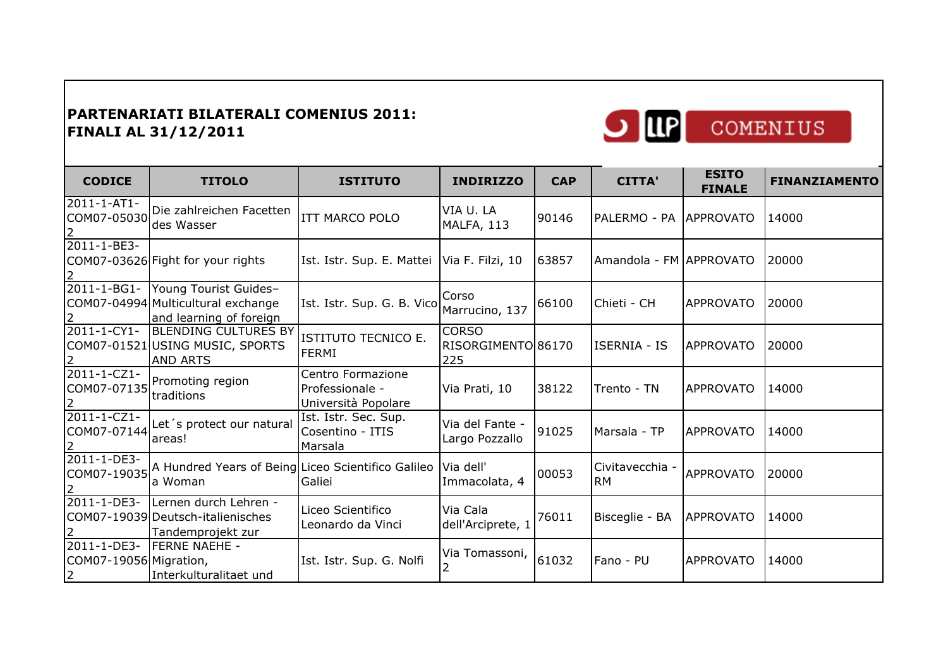

| Ι | COMENIUS |
|---|----------|
|   |          |

| <b>CODICE</b>                                            | <b>TITOLO</b>                                                                          | <b>ISTITUTO</b>                                             | <b>INDIRIZZO</b>                          | <b>CAP</b> | <b>CITTA'</b>                | <b>ESITO</b><br><b>FINALE</b> | <b>FINANZIAMENTO</b> |
|----------------------------------------------------------|----------------------------------------------------------------------------------------|-------------------------------------------------------------|-------------------------------------------|------------|------------------------------|-------------------------------|----------------------|
| 2011-1-AT1-<br>COM07-05030                               | Die zahlreichen Facetten<br>des Wasser                                                 | <b>ITT MARCO POLO</b>                                       | VIA U. LA<br>MALFA, 113                   | 90146      | PALERMO - PA APPROVATO       |                               | 14000                |
| 2011-1-BE3-                                              | COM07-03626 Fight for your rights                                                      | Ist. Istr. Sup. E. Mattei   Via F. Filzi, 10                |                                           | 63857      | Amandola - FM APPROVATO      |                               | 120000               |
| 2011-1-BG1-                                              | Young Tourist Guides-<br>COM07-04994 Multicultural exchange<br>and learning of foreign | Ist. Istr. Sup. G. B. Vico                                  | Corso<br>Marrucino, 137                   | 66100      | Chieti - CH                  | <b>APPROVATO</b>              | 20000                |
| 2011-1-CY1-                                              | <b>BLENDING CULTURES BY</b><br>COM07-01521 USING MUSIC, SPORTS<br><b>AND ARTS</b>      | ISTITUTO TECNICO E.<br><b>FERMI</b>                         | <b>CORSO</b><br>RISORGIMENTO 86170<br>225 |            | <b>ISERNIA - IS</b>          | <b>APPROVATO</b>              | 120000               |
| 2011-1-CZ1-<br>COM07-07135<br>2                          | Promoting region<br>traditions                                                         | Centro Formazione<br>Professionale -<br>Università Popolare | Via Prati, 10                             | 38122      | Trento - TN                  | APPROVATO                     | 14000                |
| 2011-1-CZ1-<br>COM07-07144                               | Let's protect our natural<br>areas!                                                    | Ist. Istr. Sec. Sup.<br>Cosentino - ITIS<br>Marsala         | Via del Fante -<br>Largo Pozzallo         | 91025      | Marsala - TP                 | <b>APPROVATO</b>              | 114000               |
| 2011-1-DE3-<br>COM07-19035                               | A Hundred Years of Being Liceo Scientifico Galileo<br>a Woman                          | Galiei                                                      | Via dell'<br>Immacolata, 4                | 00053      | Civitavecchia -<br><b>RM</b> | <b>APPROVATO</b>              | 20000                |
| 2011-1-DE3-                                              | Lernen durch Lehren -<br>COM07-19039 Deutsch-italienisches<br>Tandemprojekt zur        | Liceo Scientifico<br>Leonardo da Vinci                      | Via Cala<br>dell'Arciprete, 1             | 76011      | Bisceglie - BA               | <b>APPROVATO</b>              | 14000                |
| 2011-1-DE3-<br>COM07-19056 Migration,<br>$\vert 2 \vert$ | <b>IFERNE NAEHE -</b><br>Interkulturalitaet und                                        | Ist. Istr. Sup. G. Nolfi                                    | Via Tomassoni, 61032                      |            | Fano - PU                    | <b>APPROVATO</b>              | 14000                |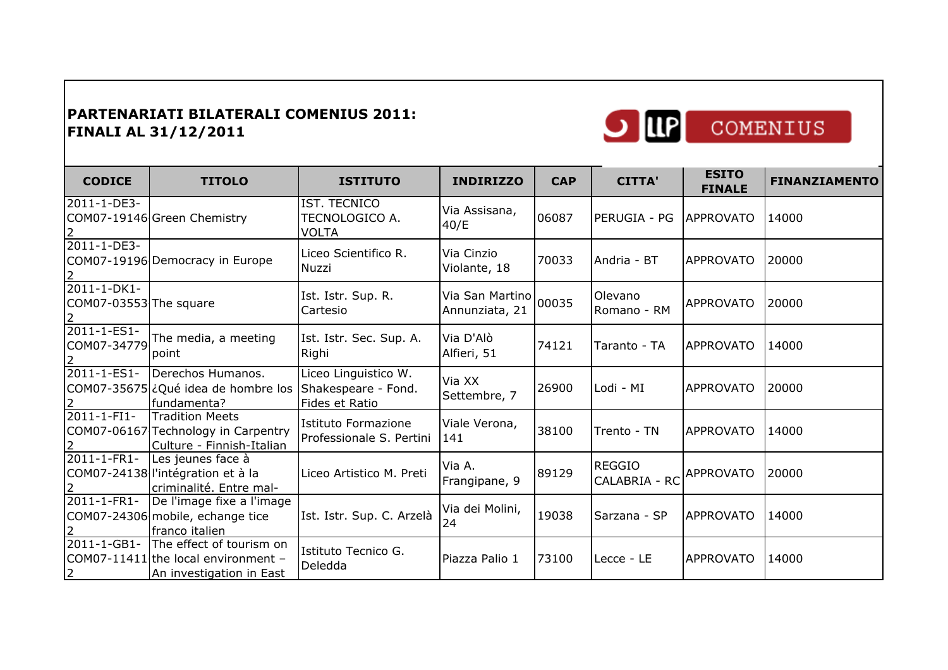

| COMENIUS |  |
|----------|--|
|          |  |

| <b>CODICE</b>                         | <b>TITOLO</b>                                                                               | <b>ISTITUTO</b>                                               | <b>INDIRIZZO</b>                        | <b>CAP</b> | <b>CITTA'</b>                  | <b>ESITO</b><br><b>FINALE</b> | <b>FINANZIAMENTO</b> |
|---------------------------------------|---------------------------------------------------------------------------------------------|---------------------------------------------------------------|-----------------------------------------|------------|--------------------------------|-------------------------------|----------------------|
| 2011-1-DE3-                           | COM07-19146 Green Chemistry                                                                 | IST. TECNICO<br>TECNOLOGICO A.<br><b>VOLTA</b>                | Via Assisana,<br>40/E                   | 06087      | PERUGIA - PG                   | <b>APPROVATO</b>              | 14000                |
| 2011-1-DE3-                           | COM07-19196 Democracy in Europe                                                             | Liceo Scientifico R.<br>Nuzzi                                 | Via Cinzio<br>Violante, 18              | 70033      | Andria - BT                    | <b>APPROVATO</b>              | 20000                |
| 2011-1-DK1-<br>COM07-03553 The square |                                                                                             | Ist. Istr. Sup. R.<br>Cartesio                                | Via San Martino 00035<br>Annunziata, 21 |            | Olevano<br>Romano - RM         | <b>APPROVATO</b>              | 20000                |
| 2011-1-ES1-<br>COM07-34779            | The media, a meeting<br>point                                                               | Ist. Istr. Sec. Sup. A.<br>Righi                              | Via D'Alò<br>Alfieri, 51                | 74121      | Taranto - TA                   | <b>APPROVATO</b>              | 14000                |
| 2011-1-ES1-                           | Derechos Humanos.<br>COM07-35675 ¿Qué idea de hombre los<br>fundamenta?                     | Liceo Linguistico W.<br>Shakespeare - Fond.<br>Fides et Ratio | Via XX<br>Settembre, 7                  | 26900      | Lodi - MI                      | <b>APPROVATO</b>              | 20000                |
| 2011-1-FI1-                           | <b>Tradition Meets</b><br>COM07-06167 Technology in Carpentry<br>Culture - Finnish-Italian  | Istituto Formazione<br>Professionale S. Pertini               | Viale Verona,<br>141                    | 38100      | Trento - TN                    | <b>APPROVATO</b>              | 14000                |
| 2011-1-FR1-                           | Les jeunes face à<br>COM07-24138 l'intégration et à la<br>criminalité. Entre mal-           | Liceo Artistico M. Preti                                      | Via A.<br>Frangipane, 9                 | 89129      | <b>REGGIO</b><br>CALABRIA - RC | <b>APPROVATO</b>              | 20000                |
| 2011-1-FR1-                           | De l'image fixe a l'image<br>COM07-24306 mobile, echange tice<br>franco italien             | Ist. Istr. Sup. C. Arzelà                                     | Via dei Molini,<br>24                   | 19038      | Sarzana - SP                   | <b>APPROVATO</b>              | 14000                |
| 2011-1-GB1-<br>$\overline{2}$         | The effect of tourism on<br>COM07-11411 the local environment -<br>An investigation in East | Istituto Tecnico G.<br>Deledda                                | Piazza Palio 1                          | 73100      | Lecce - LE                     | <b>APPROVATO</b>              | 14000                |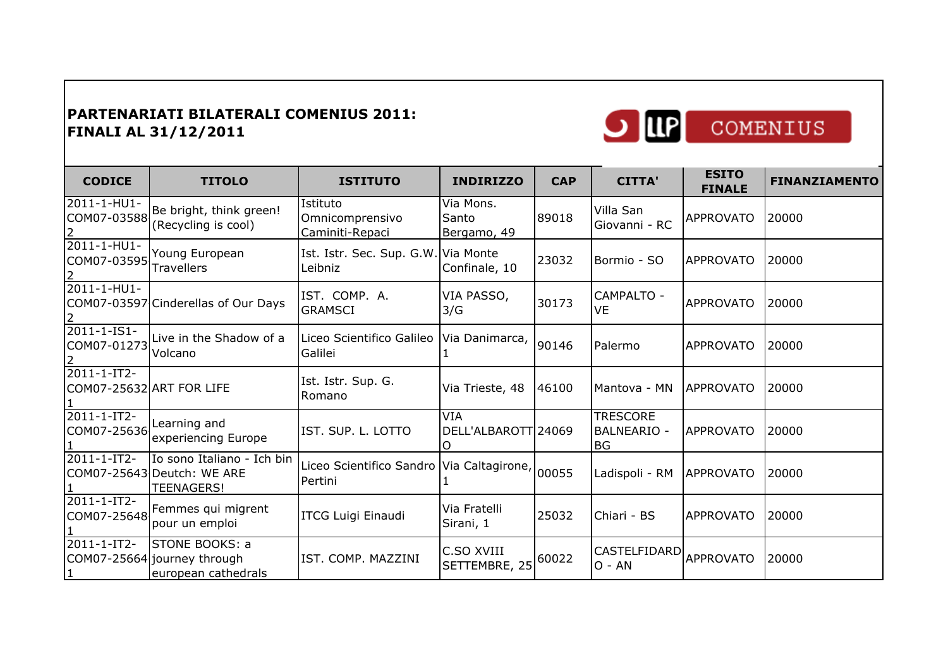

| COMENIUS |  |  |
|----------|--|--|

| <b>CODICE</b>                           | <b>TITOLO</b>                                                                 | <b>ISTITUTO</b>                                            | <b>INDIRIZZO</b>                  | <b>CAP</b> | <b>CITTA'</b>                                      | <b>ESITO</b><br><b>FINALE</b> | <b>FINANZIAMENTO</b> |
|-----------------------------------------|-------------------------------------------------------------------------------|------------------------------------------------------------|-----------------------------------|------------|----------------------------------------------------|-------------------------------|----------------------|
| 2011-1-HU1-<br>COM07-03588              | Be bright, think green!<br>(Recycling is cool)                                | Istituto<br>Omnicomprensivo<br>Caminiti-Repaci             | Via Mons.<br>Santo<br>Bergamo, 49 | 89018      | Villa San<br>Giovanni - RC                         | <b>APPROVATO</b>              | 20000                |
| 2011-1-HU1-<br>COM07-03595              | Young European<br><b>Travellers</b>                                           | Ist. Istr. Sec. Sup. G.W. Via Monte<br>Leibniz             | Confinale, 10                     | 23032      | Bormio - SO                                        | <b>APPROVATO</b>              | 20000                |
| 2011-1-HU1-                             | COM07-03597 Cinderellas of Our Days                                           | IST. COMP. A.<br><b>GRAMSCI</b>                            | VIA PASSO,<br>3/G                 | 30173      | CAMPALTO -<br><b>VE</b>                            | <b>APPROVATO</b>              | 20000                |
| 2011-1-IS1-<br>COM07-01273 Volcano      | Live in the Shadow of a                                                       | Liceo Scientifico Galileo<br>Galilei                       | Via Danimarca,                    | 90146      | Palermo                                            | <b>APPROVATO</b>              | 20000                |
| 2011-1-IT2-<br>COM07-25632 ART FOR LIFE |                                                                               | Ist. Istr. Sup. G.<br>Romano                               | Via Trieste, 48                   | 46100      | Mantova - MN                                       | APPROVATO                     | 20000                |
| 2011-1-IT2-<br>COM07-25636              | Learning and<br>experiencing Europe                                           | IST. SUP. L. LOTTO                                         | VIA<br>DELL'ALBAROTT 24069        |            | <b>TRESCORE</b><br><b>BALNEARIO -</b><br><b>BG</b> | <b>APPROVATO</b>              | 20000                |
| 2011-1-IT2-                             | Io sono Italiano - Ich bin<br>COM07-25643 Deutch: WE ARE<br><b>TEENAGERS!</b> | Liceo Scientifico Sandro Via Caltagirone, 00055<br>Pertini |                                   |            | Ladispoli - RM                                     | <b>APPROVATO</b>              | 20000                |
| 2011-1-IT2-<br>COM07-25648              | Femmes qui migrent<br>pour un emploi                                          | <b>ITCG Luigi Einaudi</b>                                  | Via Fratelli<br>Sirani, 1         | 25032      | Chiari - BS                                        | <b>APPROVATO</b>              | 20000                |
| 2011-1-IT2-                             | STONE BOOKS: a<br>COM07-25664 journey through<br>european cathedrals          | IST. COMP. MAZZINI                                         | C.SO XVIII<br>SETTEMBRE, 25       | 60022      | <b>CASTELFIDARD</b><br>$O - AN$                    | <b>APPROVATO</b>              | 20000                |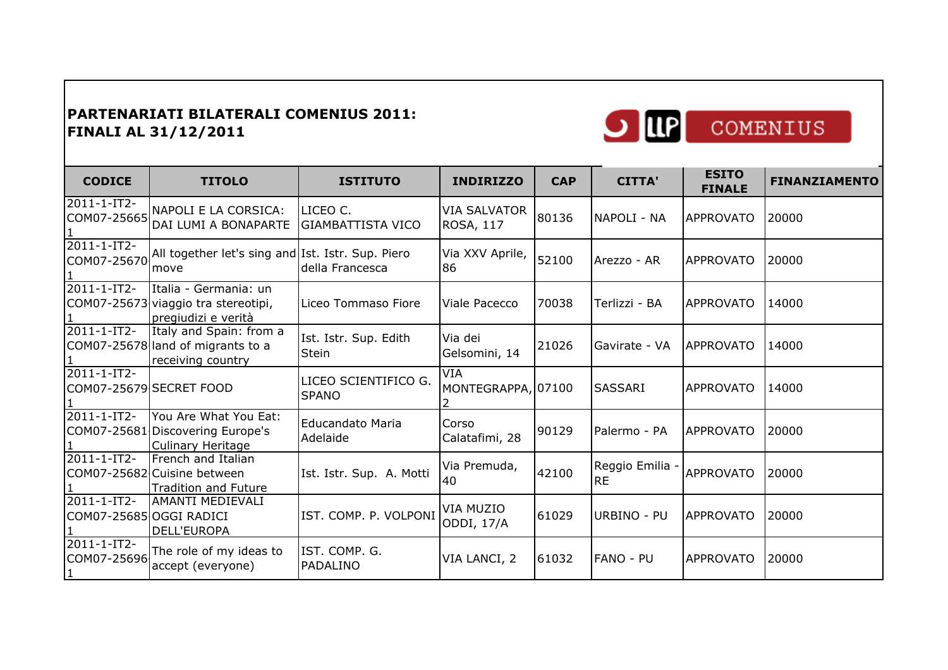

| <b>CODICE</b>                                 | <b>TITOLO</b>                                                                       | <b>ISTITUTO</b>                      | <b>INDIRIZZO</b>                        | <b>CAP</b> | <b>CITTA'</b>                | <b>ESITO</b><br><b>FINALE</b> | <b>FINANZIAMENTO</b> |
|-----------------------------------------------|-------------------------------------------------------------------------------------|--------------------------------------|-----------------------------------------|------------|------------------------------|-------------------------------|----------------------|
| 2011-1-IT2-<br>COM07-25665                    | NAPOLI E LA CORSICA:<br>DAI LUMI A BONAPARTE                                        | LICEO C.<br><b>GIAMBATTISTA VICO</b> | <b>VIA SALVATOR</b><br><b>ROSA, 117</b> | 80136      | NAPOLI - NA                  | <b>APPROVATO</b>              | 20000                |
| $2011 - 1 - IT2$<br>COM07-25670               | All together let's sing and Ist. Istr. Sup. Piero<br>move                           | della Francesca                      | Via XXV Aprile,<br>86                   | 52100      | Arezzo - AR                  | <b>APPROVATO</b>              | 20000                |
| $2011 - 1 - IT2$                              | Italia - Germania: un<br>COM07-25673 viaggio tra stereotipi,<br>pregiudizi e verità | Liceo Tommaso Fiore                  | Viale Pacecco                           | 70038      | Terlizzi - BA                | <b>APPROVATO</b>              | 14000                |
| 2011-1-IT2-                                   | Italy and Spain: from a<br>COM07-25678 land of migrants to a<br>receiving country   | Ist. Istr. Sup. Edith<br>Stein       | Via dei<br>Gelsomini, 14                | 21026      | Gavirate - VA                | <b>APPROVATO</b>              | 14000                |
| $2011 - 1 - IT2 -$<br>COM07-25679 SECRET FOOD |                                                                                     | LICEO SCIENTIFICO G.<br><b>SPANO</b> | <b>VIA</b><br>MONTEGRAPPA, 07100        |            | <b>SASSARI</b>               | <b>APPROVATO</b>              | 14000                |
| 2011-1-IT2-                                   | You Are What You Eat:<br>COM07-25681 Discovering Europe's<br>Culinary Heritage      | <b>Educandato Maria</b><br>Adelaide  | Corso<br>Calatafimi, 28                 | 90129      | Palermo - PA                 | <b>APPROVATO</b>              | 20000                |
| $2011 - 1 - IT2 -$                            | French and Italian<br>COM07-25682 Cuisine between<br><b>Tradition and Future</b>    | Ist. Istr. Sup. A. Motti             | Via Premuda,<br>40                      | 42100      | Reggio Emilia -<br><b>RE</b> | <b>APPROVATO</b>              | 20000                |
| $2011 - 1 - IT2$<br>COM07-25685 OGGI RADICI   | <b>AMANTI MEDIEVALI</b><br><b>DELL'EUROPA</b>                                       | IST. COMP. P. VOLPONI                | VIA MUZIO<br>ODDI, 17/A                 | 61029      | URBINO - PU                  | <b>APPROVATO</b>              | 20000                |
| 2011-1-IT2-<br>COM07-25696                    | The role of my ideas to<br>accept (everyone)                                        | IST. COMP. G.<br>PADALINO            | VIA LANCI, 2                            | 61032      | <b>FANO - PU</b>             | <b>APPROVATO</b>              | 20000                |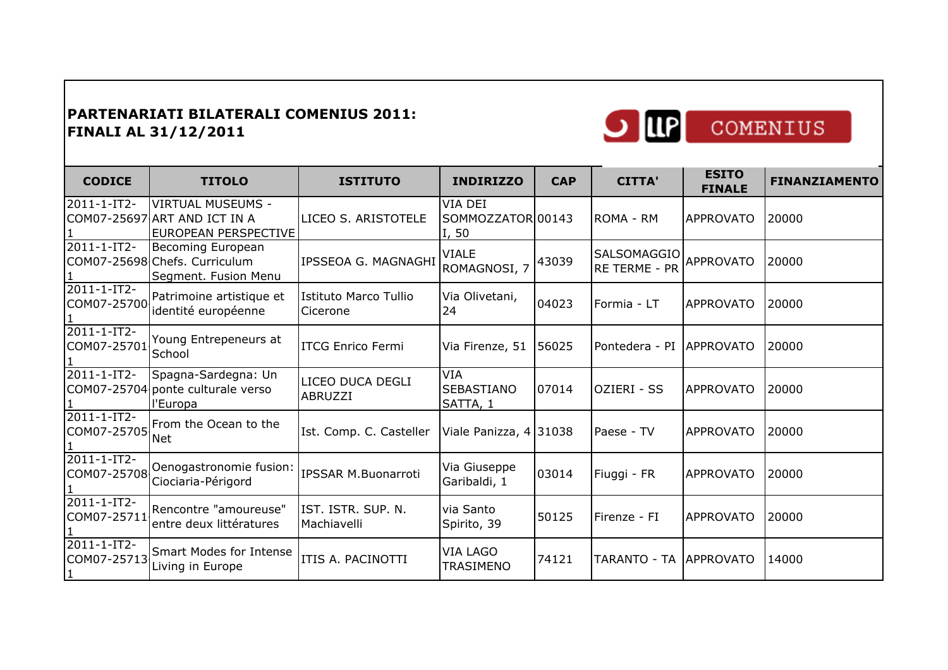

| <b>CODICE</b>              | <b>TITOLO</b>                                                                           | <b>ISTITUTO</b>                   | <b>INDIRIZZO</b>                            | <b>CAP</b> | <b>CITTA'</b>                | <b>ESITO</b><br><b>FINALE</b> | <b>FINANZIAMENTO</b> |
|----------------------------|-----------------------------------------------------------------------------------------|-----------------------------------|---------------------------------------------|------------|------------------------------|-------------------------------|----------------------|
| 2011-1-IT2-                | <b>VIRTUAL MUSEUMS -</b><br>COM07-25697 ART AND ICT IN A<br><b>EUROPEAN PERSPECTIVE</b> | LICEO S. ARISTOTELE               | VIA DEI<br>SOMMOZZATOR 00143<br>I, 50       |            | ROMA - RM                    | <b>APPROVATO</b>              | 20000                |
| 2011-1-IT2-                | Becoming European<br>COM07-25698 Chefs. Curriculum<br>Segment. Fusion Menu              | IPSSEOA G. MAGNAGHI               | <b>VIALE</b><br>ROMAGNOSI, 7                | 43039      | SALSOMAGGIO<br>RE TERME - PR | <b>APPROVATO</b>              | 20000                |
| 2011-1-IT2-<br>COM07-25700 | Patrimoine artistique et<br>identité européenne                                         | Istituto Marco Tullio<br>Cicerone | Via Olivetani,<br>24                        | 04023      | Formia - LT                  | <b>APPROVATO</b>              | 20000                |
| 2011-1-IT2-<br>COM07-25701 | Young Entrepeneurs at<br>School                                                         | <b>ITCG Enrico Fermi</b>          | Via Firenze, 51                             | 56025      | Pontedera - PI               | <b>APPROVATO</b>              | 20000                |
| $2011 - 1 - IT2 -$         | Spagna-Sardegna: Un<br>COM07-25704 ponte culturale verso<br>l'Europa                    | LICEO DUCA DEGLI<br>ABRUZZI       | <b>VIA</b><br><b>SEBASTIANO</b><br>SATTA, 1 | 07014      | OZIERI - SS                  | <b>APPROVATO</b>              | 20000                |
| 2011-1-IT2-<br>COM07-25705 | From the Ocean to the<br><b>Net</b>                                                     | Ist. Comp. C. Casteller           | Viale Panizza, 4 31038                      |            | Paese - TV                   | <b>APPROVATO</b>              | 20000                |
| 2011-1-IT2-<br>COM07-25708 | Oenogastronomie fusion:<br>Ciociaria-Périgord                                           | <b>IPSSAR M.Buonarroti</b>        | Via Giuseppe<br>Garibaldi, 1                | 03014      | Fiuggi - FR                  | <b>APPROVATO</b>              | 20000                |
| 2011-1-IT2-<br>COM07-25711 | Rencontre "amoureuse"<br>entre deux littératures                                        | IST. ISTR. SUP. N.<br>Machiavelli | via Santo<br>Spirito, 39                    | 50125      | Firenze - FI                 | <b>APPROVATO</b>              | 20000                |
| 2011-1-IT2-<br>COM07-25713 | Smart Modes for Intense<br>Living in Europe                                             | ITIS A. PACINOTTI                 | <b>VIA LAGO</b><br><b>TRASIMENO</b>         | 74121      | TARANTO - TA   APPROVATO     |                               | 14000                |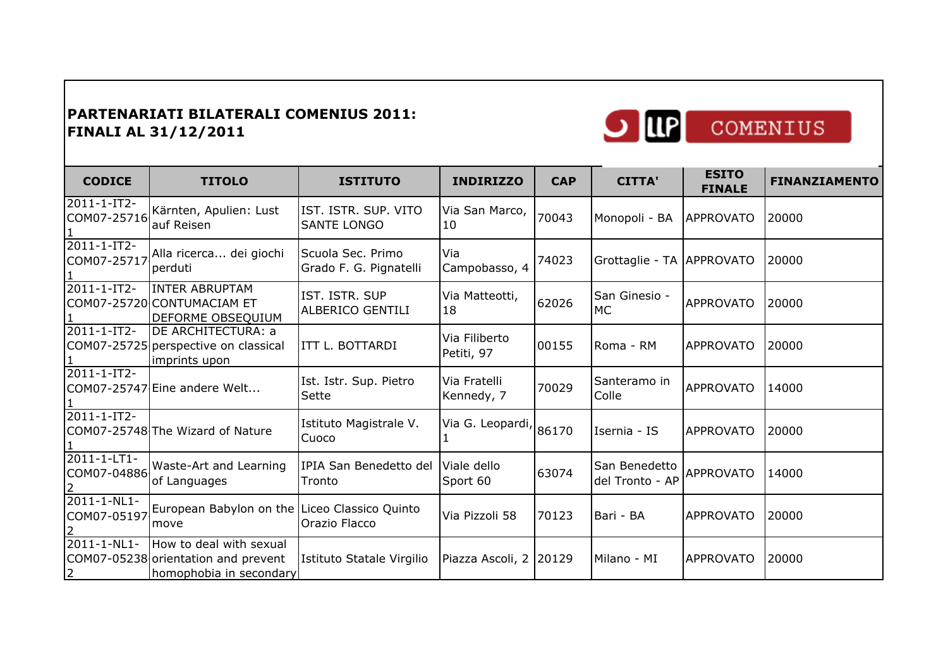

| <b>CODICE</b>                                | <b>TITOLO</b>                                                                             | <b>ISTITUTO</b>                             | <b>INDIRIZZO</b>            | <b>CAP</b> | <b>CITTA'</b>                    | <b>ESITO</b><br><b>FINALE</b> | <b>FINANZIAMENTO</b> |
|----------------------------------------------|-------------------------------------------------------------------------------------------|---------------------------------------------|-----------------------------|------------|----------------------------------|-------------------------------|----------------------|
| 2011-1-IT2-<br>COM07-25716                   | Kärnten, Apulien: Lust<br>auf Reisen                                                      | IST. ISTR. SUP. VITO<br><b>SANTE LONGO</b>  | Via San Marco, 70043<br>10  |            | Monopoli - BA                    | <b>APPROVATO</b>              | 20000                |
| $2011 - 1 - IT2$<br>COM07-25717              | Alla ricerca dei giochi<br>perduti                                                        | Scuola Sec. Primo<br>Grado F. G. Pignatelli | Via<br>Campobasso, 4        | 74023      | Grottaglie - TA APPROVATO        |                               | 20000                |
| $2011 - 1 - IT2$                             | <b>INTER ABRUPTAM</b><br>COM07-25720 CONTUMACIAM ET<br>DEFORME OBSEQUIUM                  | IST. ISTR. SUP<br>ALBERICO GENTILI          | Via Matteotti,<br>18        | 62026      | San Ginesio -<br><b>MC</b>       | <b>APPROVATO</b>              | 20000                |
| $2011 - 1 - IT2 -$                           | DE ARCHITECTURA: a<br>COM07-25725 perspective on classical<br>imprints upon               | ITT L. BOTTARDI                             | Via Filiberto<br>Petiti, 97 | 00155      | Roma - RM                        | <b>APPROVATO</b>              | 20000                |
| $2011 - 1 - IT2$                             | COM07-25747 Eine andere Welt                                                              | Ist. Istr. Sup. Pietro<br>Sette             | Via Fratelli<br>Kennedy, 7  | 70029      | Santeramo in<br>Colle            | <b>APPROVATO</b>              | 14000                |
| 2011-1-IT2-                                  | COM07-25748 The Wizard of Nature                                                          | Istituto Magistrale V.<br>Cuoco             | Via G. Leopardi, 86170      |            | Isernia - IS                     | <b>APPROVATO</b>              | 20000                |
| 2011-1-LT1-<br>COM07-04886                   | Waste-Art and Learning<br>of Languages                                                    | IPIA San Benedetto del<br>Tronto            | Viale dello<br>Sport 60     | 63074      | San Benedetto<br>del Tronto - AP | <b>APPROVATO</b>              | 14000                |
| $\overline{2011} - 1 - NL1 -$<br>COM07-05197 | European Babylon on the Liceo Classico Quinto<br>move                                     | Orazio Flacco                               | Via Pizzoli 58              | 70123      | Bari - BA                        | <b>APPROVATO</b>              | 20000                |
| 2011-1-NL1-<br>$\overline{2}$                | How to deal with sexual<br>COM07-05238 orientation and prevent<br>homophobia in secondary | Istituto Statale Virgilio                   | Piazza Ascoli, 2 20129      |            | Milano - MI                      | <b>APPROVATO</b>              | 20000                |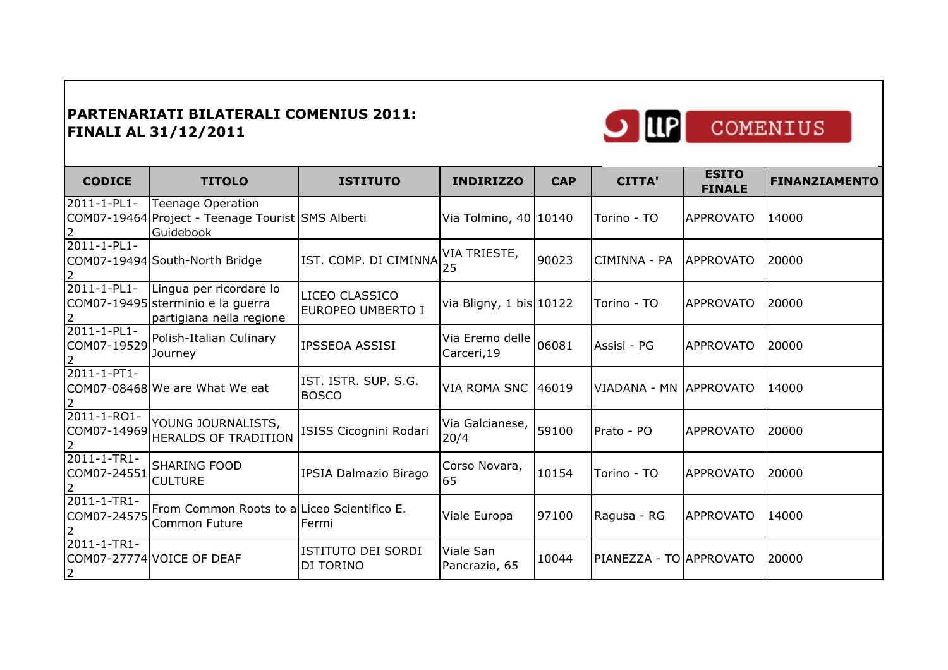

| COMENIUS |
|----------|
|          |

| <b>CODICE</b>                     | <b>TITOLO</b>                                                                              | <b>ISTITUTO</b>                      | <b>INDIRIZZO</b>               | <b>CAP</b> | <b>CITTA'</b>           | <b>ESITO</b><br><b>FINALE</b> | <b>FINANZIAMENTO</b> |
|-----------------------------------|--------------------------------------------------------------------------------------------|--------------------------------------|--------------------------------|------------|-------------------------|-------------------------------|----------------------|
| 2011-1-PL1-                       | <b>Teenage Operation</b><br>COM07-19464 Project - Teenage Tourist SMS Alberti<br>Guidebook |                                      | Via Tolmino, 40   10140        |            | Torino - TO             | <b>APPROVATO</b>              | 14000                |
| 2011-1-PL1-                       | COM07-19494 South-North Bridge                                                             | IST. COMP. DI CIMINNA 25             | VIA TRIESTE,                   | 90023      | CIMINNA - PA            | <b>APPROVATO</b>              | 20000                |
| 2011-1-PL1-                       | Lingua per ricordare lo<br>COM07-19495 sterminio e la guerra<br>partigiana nella regione   | LICEO CLASSICO<br>EUROPEO UMBERTO I  | via Bligny, 1 bis 10122        |            | Torino - TO             | <b>APPROVATO</b>              | 20000                |
| $2011 - 1 - PL1 -$                | COM07-19529 Polish-Italian Culinary<br>Journey                                             | IPSSEOA ASSISI                       | Via Eremo delle<br>Carceri, 19 | 06081      | Assisi - PG             | <b>APPROVATO</b>              | 20000                |
| 2011-1-PT1-                       | COM07-08468 We are What We eat                                                             | IST. ISTR. SUP. S.G.<br><b>BOSCO</b> | VIA ROMA SNC 46019             |            | VIADANA - MN APPROVATO  |                               | 14000                |
| 2011-1-RO1-<br>COM07-14969        | YOUNG JOURNALISTS,<br><b>HERALDS OF TRADITION</b>                                          | ISISS Cicognini Rodari               | Via Galcianese, 159100<br>20/4 |            | Prato - PO              | <b>APPROVATO</b>              | 20000                |
| $2011 - 1 - TR1 -$<br>COM07-24551 | <b>SHARING FOOD</b><br><b>CULTURE</b>                                                      | IPSIA Dalmazio Birago                | Corso Novara,<br>65            | 10154      | Torino - TO             | <b>APPROVATO</b>              | 20000                |
| $2011 - 1 - TR1 -$<br>COM07-24575 | From Common Roots to a Liceo Scientifico E.<br>Common Future                               | Fermi                                | Viale Europa                   | 97100      | Ragusa - RG             | <b>APPROVATO</b>              | 14000                |
| 2011-1-TR1-<br>$\overline{2}$     | COM07-27774 VOICE OF DEAF                                                                  | ISTITUTO DEI SORDI<br>DI TORINO      | Viale San<br>Pancrazio, 65     | 10044      | PIANEZZA - TO APPROVATO |                               | 20000                |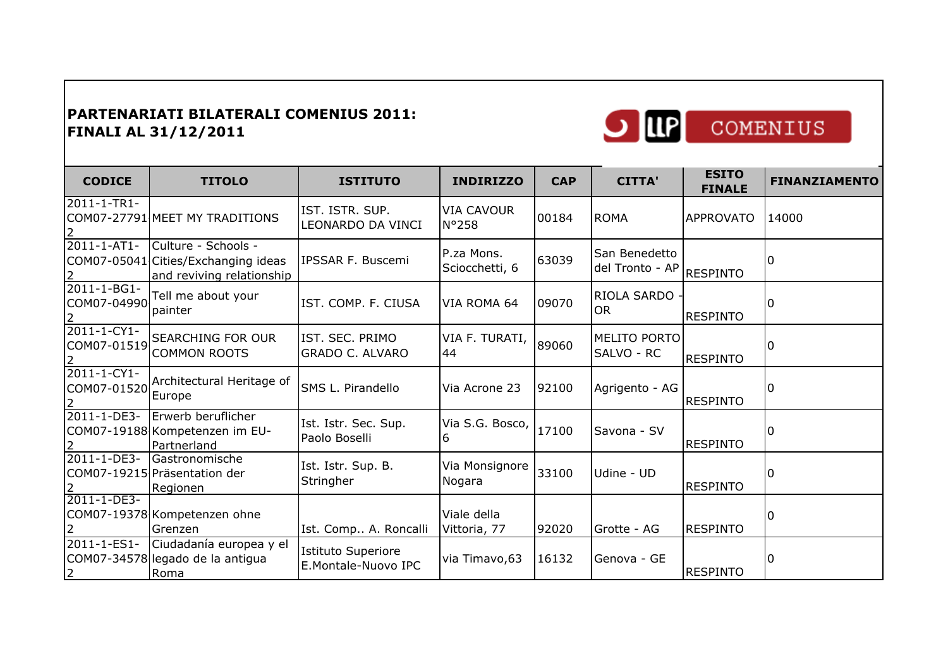

| <b>CODICE</b>                     | <b>TITOLO</b>                                                                           | <b>ISTITUTO</b>                           | <b>INDIRIZZO</b>             | <b>CAP</b> | <b>CITTA'</b>                             | <b>ESITO</b><br><b>FINALE</b> | <b>FINANZIAMENTO</b> |
|-----------------------------------|-----------------------------------------------------------------------------------------|-------------------------------------------|------------------------------|------------|-------------------------------------------|-------------------------------|----------------------|
| 2011-1-TR1-<br>2                  | COM07-27791 MEET MY TRADITIONS                                                          | IST. ISTR. SUP.<br>LEONARDO DA VINCI      | <b>VIA CAVOUR</b><br>N°258   | 00184      | <b>ROMA</b>                               | <b>APPROVATO</b>              | 14000                |
| 2011-1-AT1-<br>2                  | Culture - Schools -<br>COM07-05041 Cities/Exchanging ideas<br>and reviving relationship | IPSSAR F. Buscemi                         | P.za Mons.<br>Sciocchetti, 6 | 63039      | San Benedetto<br>del Tronto - AP RESPINTO |                               | ıΩ                   |
| 2011-1-BG1-<br>COM07-04990<br>2   | Tell me about your<br>painter                                                           | IST. COMP. F. CIUSA                       | VIA ROMA 64                  | 09070      | RIOLA SARDO<br><b>OR</b>                  | <b>RESPINTO</b>               | I٥                   |
| 2011-1-CY1-                       | COM07-01519 SEARCHING FOR OUR<br><b>COMMON ROOTS</b>                                    | IST. SEC. PRIMO<br><b>GRADO C. ALVARO</b> | VIA F. TURATI,<br>44         | 89060      | MELITO PORTO<br>SALVO - RC                | <b>RESPINTO</b>               | l0                   |
| $2011 - 1 - CY1 -$<br>COM07-01520 | Architectural Heritage of<br>Europe                                                     | SMS L. Pirandello                         | Via Acrone 23                | 92100      | Agrigento - AG                            | <b>RESPINTO</b>               | ۱O                   |
| 2011-1-DE3-                       | Erwerb beruflicher<br>COM07-19188 Kompetenzen im EU-<br>Partnerland                     | Ist. Istr. Sec. Sup.<br>Paolo Boselli     | Via S.G. Bosco, 17100        |            | Savona - SV                               | <b>RESPINTO</b>               | ΙO                   |
| 2011-1-DE3-                       | Gastronomische<br>COM07-19215 Präsentation der<br>Regionen                              | Ist. Istr. Sup. B.<br>Stringher           | Via Monsignore<br>Nogara     | 33100      | Udine - UD                                | <b>RESPINTO</b>               | ΙO                   |
| 2011-1-DE3-                       | COM07-19378 Kompetenzen ohne<br>Grenzen                                                 | Ist. Comp A. Roncalli                     | Viale della<br>Vittoria, 77  | 92020      | Grotte - AG                               | <b>RESPINTO</b>               | l0                   |
| 2011-1-ES1-<br>2                  | Ciudadanía europea y el<br>COM07-34578 legado de la antigua<br>Roma                     | Istituto Superiore<br>E.Montale-Nuovo IPC | via Timavo, 63               | 16132      | Genova - GE                               | <b>RESPINTO</b>               | 0                    |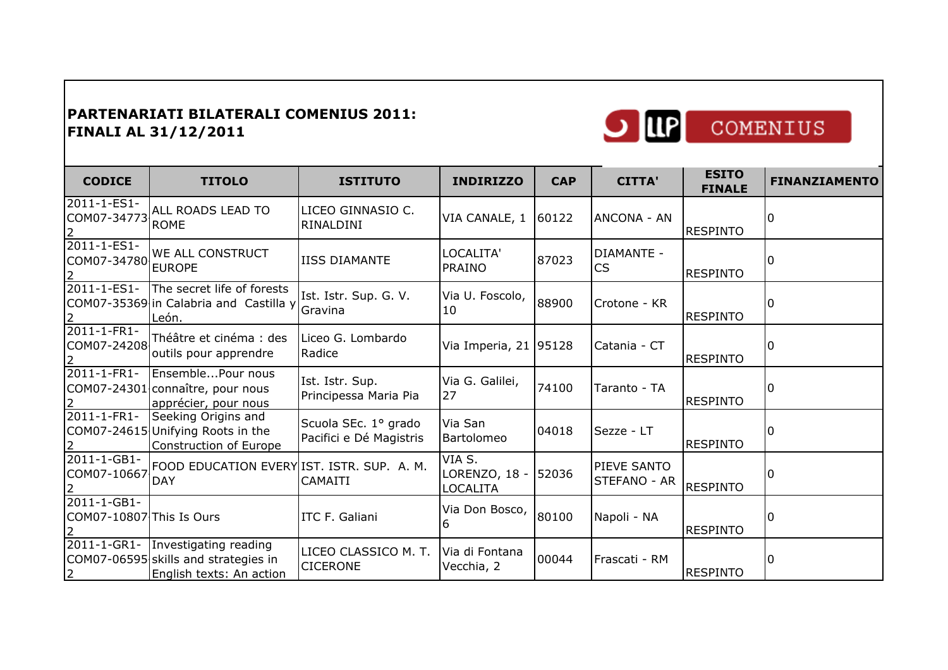English texts: An action

2



| <b>CODICE</b>                                             | <b>TITOLO</b>                                                                                           | <b>ISTITUTO</b>                                 | <b>INDIRIZZO</b>                          | <b>CAP</b> | <b>CITTA'</b>               | <b>ESITO</b><br><b>FINALE</b> | <b>FINANZIAMENTO</b> |
|-----------------------------------------------------------|---------------------------------------------------------------------------------------------------------|-------------------------------------------------|-------------------------------------------|------------|-----------------------------|-------------------------------|----------------------|
| 2011-1-ES1-<br>COM07-34773<br>$\overline{2}$              | ALL ROADS LEAD TO<br><b>ROME</b>                                                                        | LICEO GINNASIO C.<br>RINALDINI                  | VIA CANALE, 1                             | 60122      | ANCONA - AN                 | <b>RESPINTO</b>               |                      |
| 2011-1-ES1-<br>2                                          | WE ALL CONSTRUCT                                                                                        | <b>IISS DIAMANTE</b>                            | LOCALITA'<br><b>PRAINO</b>                | 87023      | DIAMANTE -<br>CS            | <b>RESPINTO</b>               |                      |
| 2011-1-ES1-<br>$\overline{2}$                             | The secret life of forests<br>COM07-35369 in Calabria and Castilla y<br>León.                           | Ist. Istr. Sup. G. V.<br>Gravina                | Via U. Foscolo,<br>10                     | 88900      | Crotone - KR                | <b>RESPINTO</b>               |                      |
| 2011-1-FR1-<br>COM07-24208<br>$\overline{2}$              | Théâtre et cinéma : des<br>outils pour apprendre                                                        | Liceo G. Lombardo<br>Radice                     | Via Imperia, 21 95128                     |            | Catania - CT                | <b>RESPINTO</b>               |                      |
| $2011 - 1 - FR1 -$<br>2                                   | EnsemblePour nous<br>COM07-24301 connaître, pour nous<br>apprécier, pour nous                           | Ist. Istr. Sup.<br>Principessa Maria Pia        | Via G. Galilei,<br>27                     | 74100      | Taranto - TA                | <b>RESPINTO</b>               |                      |
| 2011-1-FR1-<br>$\mathsf{2}^-$                             | Seeking Origins and<br>COM07-24615 Unifying Roots in the<br>Construction of Europe                      | Scuola SEc. 1º grado<br>Pacifici e Dé Magistris | Via San<br>Bartolomeo                     | 04018      | Sezze - LT                  | <b>RESPINTO</b>               |                      |
| 2011-1-GB1-<br>COM07-10667                                | FOOD EDUCATION EVERY IST. ISTR. SUP. A. M.<br><b>DAY</b>                                                | <b>CAMAITI</b>                                  | VIA S.<br>LORENZO, 18 - 52036<br>LOCALITA |            | PIEVE SANTO<br>STEFANO - AR | <b>RESPINTO</b>               |                      |
| 2011-1-GB1-<br>COM07-10807 This Is Ours<br>$\overline{2}$ |                                                                                                         | ITC F. Galiani                                  | Via Don Bosco,                            | 80100      | Napoli - NA                 | <b>RESPINTO</b>               |                      |
|                                                           | 2011-1-GR1- Investigating reading<br>COM07-06595 skills and strategies in<br>lFnalish texts: An action. | LICEO CLASSICO M. T.<br><b>CICERONE</b>         | Via di Fontana<br>Vecchia, 2              | 00044      | Frascati - RM               | <b>RESPINTO</b>               |                      |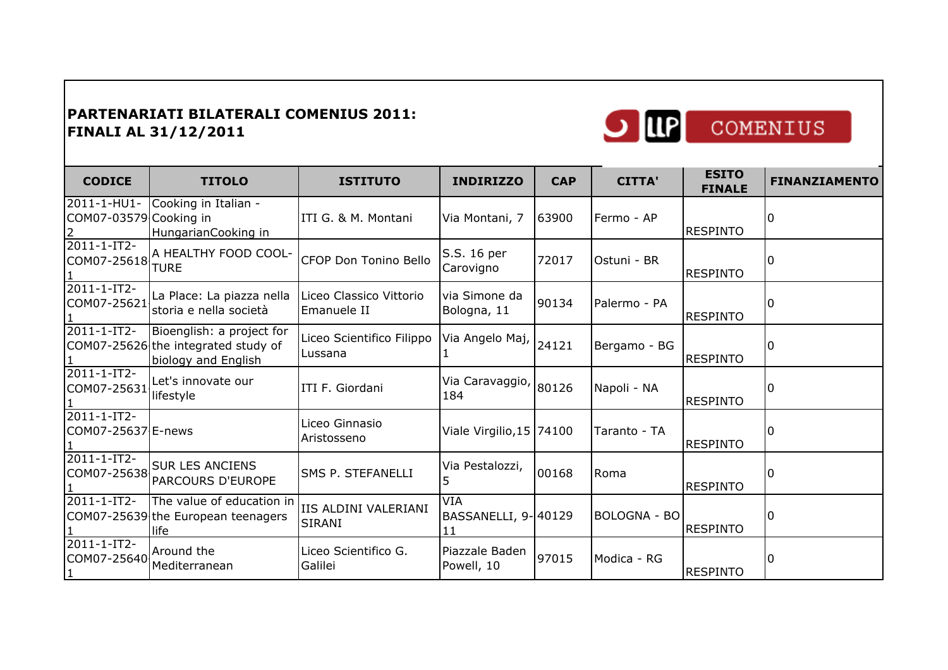

| <b>CODICE</b>                         | <b>TITOLO</b>                                                                           | <b>ISTITUTO</b>                        | <b>INDIRIZZO</b>                 | <b>CAP</b> | <b>CITTA'</b> | <b>ESITO</b><br><b>FINALE</b> | <b>FINANZIAMENTO</b> |
|---------------------------------------|-----------------------------------------------------------------------------------------|----------------------------------------|----------------------------------|------------|---------------|-------------------------------|----------------------|
| 2011-1-HU1-<br>COM07-03579 Cooking in | Cooking in Italian -<br>HungarianCooking in                                             | ITI G. & M. Montani                    | Via Montani, 7                   | 63900      | Fermo - AP    | <b>RESPINTO</b>               |                      |
| 2011-1-IT2-<br>COM07-25618            | A HEALTHY FOOD COOL-<br><b>TURE</b>                                                     | CFOP Don Tonino Bello                  | S.S. 16 per<br>Carovigno         | 72017      | Ostuni - BR   | <b>RESPINTO</b>               |                      |
| 2011-1-IT2-<br>COM07-25621            | La Place: La piazza nella<br>storia e nella società                                     | Liceo Classico Vittorio<br>Emanuele II | via Simone da<br>Bologna, 11     | 90134      | Palermo - PA  | <b>RESPINTO</b>               |                      |
| 2011-1-IT2-                           | Bioenglish: a project for<br>COM07-25626 the integrated study of<br>biology and English | Liceo Scientifico Filippo<br>Lussana   | Via Angelo Maj, 24121            |            | Bergamo - BG  | <b>RESPINTO</b>               |                      |
| $2011 - 1 - IT2 -$<br>COM07-25631     | Let's innovate our<br>lifestyle                                                         | ITI F. Giordani                        | Via Caravaggio, 80126<br>184     |            | Napoli - NA   | <b>RESPINTO</b>               |                      |
| 2011-1-IT2-<br>COM07-25637 E-news     |                                                                                         | Liceo Ginnasio<br>Aristosseno          | Viale Virgilio, 15 74100         |            | Taranto - TA  | <b>RESPINTO</b>               |                      |
| 2011-1-IT2-<br>COM07-25638            | <b>SUR LES ANCIENS</b><br>PARCOURS D'EUROPE                                             | SMS P. STEFANELLI                      | Via Pestalozzi,                  | 00168      | Roma          | <b>RESPINTO</b>               |                      |
| 2011-1-IT2-                           | The value of education in<br>COM07-25639 the European teenagers<br>life                 | IIS ALDINI VALERIANI<br><b>SIRANI</b>  | VIA<br>BASSANELLI, 9-40129<br>11 |            | BOLOGNA - BO  | <b>RESPINTO</b>               |                      |
| 2011-1-IT2-<br>COM07-25640            | Around the<br>Mediterranean                                                             | Liceo Scientifico G.<br>Galilei        | Piazzale Baden<br>Powell, 10     | 97015      | Modica - RG   | <b>RESPINTO</b>               |                      |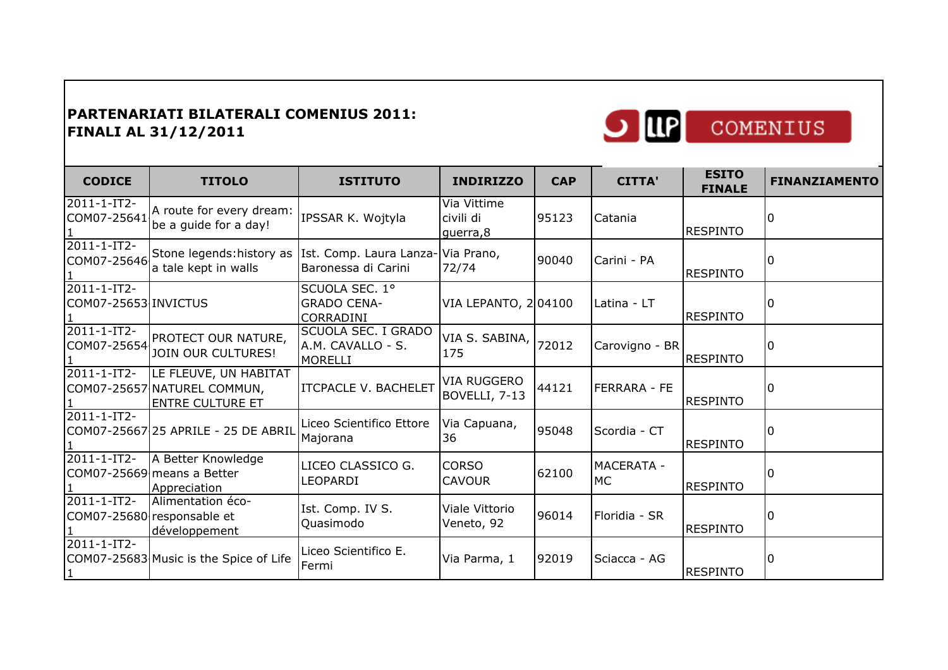

| <b>CODICE</b>                                 | <b>TITOLO</b>                                                                   | <b>ISTITUTO</b>                                            | <b>INDIRIZZO</b>                     | <b>CAP</b> | <b>CITTA'</b>           | <b>ESITO</b><br><b>FINALE</b> | <b>FINANZIAMENTO</b> |
|-----------------------------------------------|---------------------------------------------------------------------------------|------------------------------------------------------------|--------------------------------------|------------|-------------------------|-------------------------------|----------------------|
| 2011-1-IT2-<br>COM07-25641                    | A route for every dream:<br>be a guide for a day!                               | IPSSAR K. Wojtyla                                          | Via Vittime<br>civili di<br>guerra,8 | 95123      | Catania                 | <b>RESPINTO</b>               | 10                   |
| $\overline{2011} - 1 - IT2 -$<br>COM07-25646  | Stone legends: history as<br>a tale kept in walls                               | Ist. Comp. Laura Lanza-Via Prano,<br>Baronessa di Carini   | 72/74                                | 90040      | Carini - PA             | <b>RESPINTO</b>               | l N                  |
| $\sqrt{2011 - 1} - I$<br>COM07-25653 INVICTUS |                                                                                 | SCUOLA SEC. 1°<br><b>GRADO CENA-</b><br>CORRADINI          | VIA LEPANTO, 204100                  |            | Latina - LT             | <b>RESPINTO</b>               | l0                   |
| $2011 - 1 - IT2$                              | PROTECT OUR NATURE,<br>COM07-25654 JOIN OUR CULTURES!                           | SCUOLA SEC. I GRADO<br>A.M. CAVALLO - S.<br><b>MORELLI</b> | VIA S. SABINA, 72012<br>175          |            | Carovigno - BR          | <b>RESPINTO</b>               | ۱O                   |
| $2011 - 1 - IT2 -$                            | LE FLEUVE, UN HABITAT<br>COM07-25657 NATUREL COMMUN,<br><b>ENTRE CULTURE ET</b> | <b>ITCPACLE V. BACHELET</b>                                | <b>VIA RUGGERO</b><br>BOVELLI, 7-13  | 44121      | FERRARA - FE            | <b>RESPINTO</b>               | <sup>0</sup>         |
| $2011 - 1 - IT2$                              | COM07-25667 25 APRILE - 25 DE ABRIL                                             | Liceo Scientifico Ettore<br>Majorana                       | Via Capuana,<br>36                   | 95048      | Scordia - CT            | <b>RESPINTO</b>               | l0                   |
| 2011-1-IT2-                                   | A Better Knowledge<br>COM07-25669 means a Better<br>Appreciation                | LICEO CLASSICO G.<br>LEOPARDI                              | <b>CORSO</b><br><b>CAVOUR</b>        | 62100      | <b>MACERATA -</b><br>МC | <b>RESPINTO</b>               |                      |
| $\sqrt{2011 - 1} - I$                         | Alimentation éco-<br>COM07-25680 responsable et<br>développement                | Ist. Comp. IV S.<br>Quasimodo                              | Viale Vittorio<br>Veneto, 92         | 96014      | Floridia - SR           | <b>RESPINTO</b>               | ۱O                   |
| 2011-1-IT2-                                   | COM07-25683 Music is the Spice of Life                                          | Liceo Scientifico E.<br>Fermi                              | Via Parma, 1                         | 92019      | Sciacca - AG            | <b>RESPINTO</b>               | I٥                   |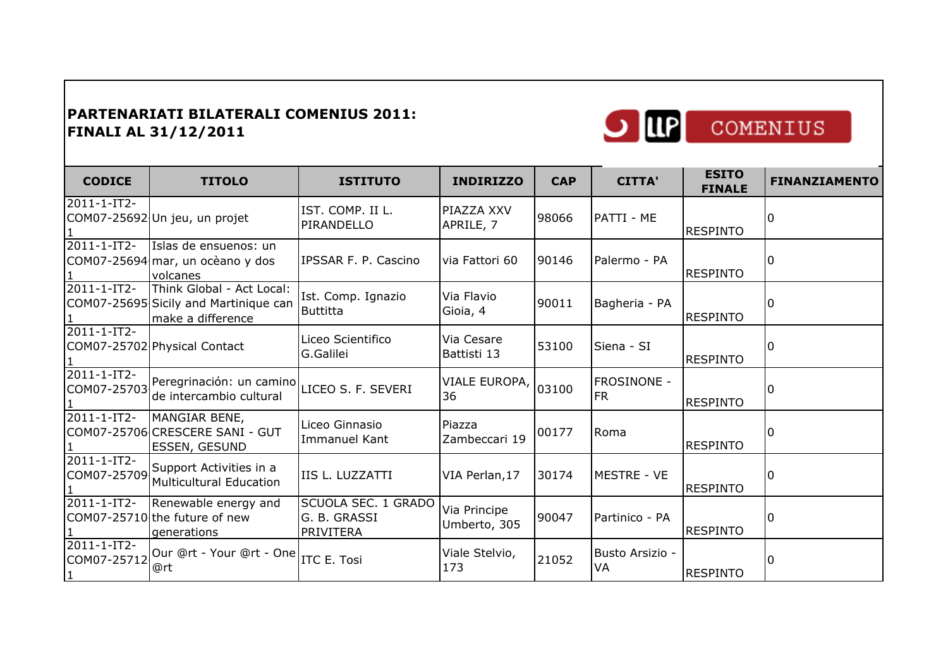

| <b>CODICE</b>                              | <b>TITOLO</b>                                                                           | <b>ISTITUTO</b>                                         | <b>INDIRIZZO</b>             | <b>CAP</b> | <b>CITTA'</b>         | <b>ESITO</b><br><b>FINALE</b> | <b>FINANZIAMENTO</b> |
|--------------------------------------------|-----------------------------------------------------------------------------------------|---------------------------------------------------------|------------------------------|------------|-----------------------|-------------------------------|----------------------|
| 2011-1-IT2-                                | COM07-25692 Un jeu, un projet                                                           | IST. COMP. II L.<br>PIRANDELLO                          | PIAZZA XXV<br>APRILE, 7      | 98066      | PATTI - ME            | <b>RESPINTO</b>               |                      |
| $2011 - 1 - IT2$                           | Islas de ensuenos: un<br>COM07-25694 mar, un ocèano y dos<br>volcanes                   | IPSSAR F. P. Cascino                                    | via Fattori 60               | 90146      | Palermo - PA          | <b>RESPINTO</b>               |                      |
| 2011-1-IT2-                                | Think Global - Act Local:<br>COM07-25695 Sicily and Martinique can<br>make a difference | Ist. Comp. Ignazio<br>Buttitta                          | Via Flavio<br>Gioia, 4       | 90011      | Bagheria - PA         | <b>RESPINTO</b>               |                      |
| 2011-1-IT2-                                | COM07-25702 Physical Contact                                                            | Liceo Scientifico<br>G.Galilei                          | Via Cesare<br>Battisti 13    | 53100      | Siena - SI            | <b>RESPINTO</b>               | <sup>0</sup>         |
| $2011 - 1 - IT2 -$<br>COM07-25703          | Peregrinación: un camino LICEO S. F. SEVERI<br>de intercambio cultural                  |                                                         | VIALE EUROPA,<br>36          | 03100      | FROSINONE -<br>FR.    | <b>RESPINTO</b>               |                      |
| 2011-1-IT2-                                | MANGIAR BENE,<br>COM07-25706 CRESCERE SANI - GUT<br><b>ESSEN, GESUND</b>                | Liceo Ginnasio<br>Immanuel Kant                         | Piazza<br>Zambeccari 19      | 00177      | Roma                  | <b>RESPINTO</b>               |                      |
| $2011 - 1 - IT2$<br>COM07-25709            | Support Activities in a<br>Multicultural Education                                      | IIS L. LUZZATTI                                         | VIA Perlan, 17               | 30174      | MESTRE - VE           | <b>RESPINTO</b>               | 0                    |
| 2011-1-IT2-                                | Renewable energy and<br>COM07-25710 the future of new<br>generations                    | SCUOLA SEC. 1 GRADO<br>G. B. GRASSI<br><b>PRIVITERA</b> | Via Principe<br>Umberto, 305 | 90047      | Partinico - PA        | <b>RESPINTO</b>               |                      |
| 2011-1-IT2-<br>COM07-25712<br>$\mathbf{1}$ | Our @rt - Your @rt - One  <sub>ITC E. Tosi</sub><br>@rt                                 |                                                         | Viale Stelvio,<br>173        | 21052      | Busto Arsizio -<br>VA | <b>RESPINTO</b>               | <sup>0</sup>         |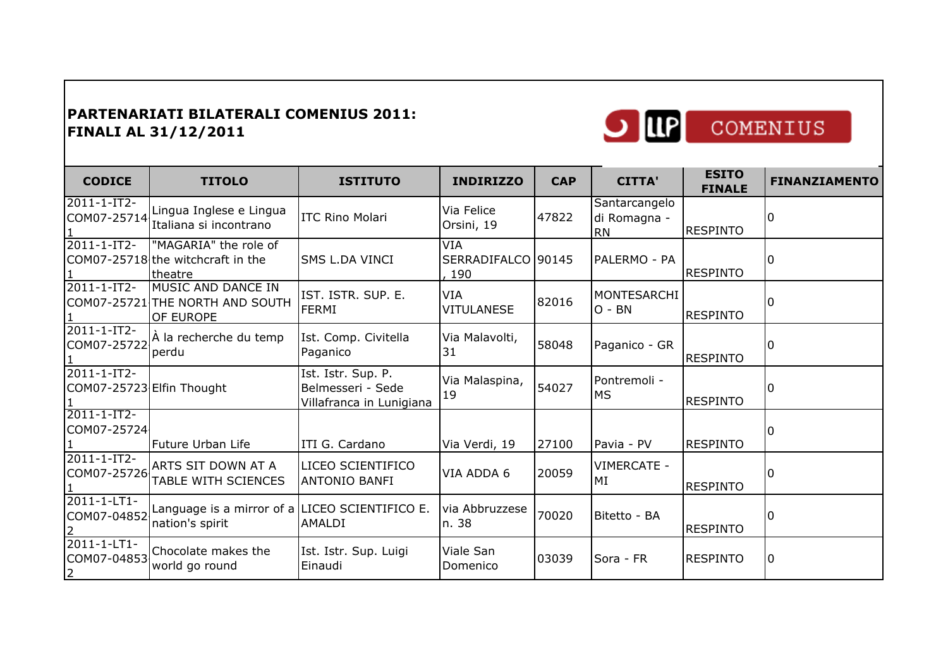

| <b>CODICE</b>                                | <b>TITOLO</b>                                                             | <b>ISTITUTO</b>                                                     | <b>INDIRIZZO</b>                        | <b>CAP</b> | <b>CITTA'</b>                              | <b>ESITO</b><br><b>FINALE</b> | <b>FINANZIAMENTO</b> |
|----------------------------------------------|---------------------------------------------------------------------------|---------------------------------------------------------------------|-----------------------------------------|------------|--------------------------------------------|-------------------------------|----------------------|
| 2011-1-IT2-                                  | Lingua Inglese e Lingua<br>COM07-25714 Italiana si incontrano             | <b>ITC Rino Molari</b>                                              | Via Felice<br>Orsini, 19                | 47822      | Santarcangelo<br>di Romagna -<br><b>RN</b> | <b>RESPINTO</b>               | l0                   |
| $2011 - 1 - IT2$                             | "MAGARIA" the role of<br>COM07-25718 the witchcraft in the<br>theatre     | <b>SMS L.DA VINCI</b>                                               | <b>VIA</b><br>SERRADIFALCO 90145<br>190 |            | PALERMO - PA                               | <b>RESPINTO</b>               | I۵                   |
| 2011-1-IT2-                                  | MUSIC AND DANCE IN<br>COM07-25721 THE NORTH AND SOUTH<br><b>OF EUROPE</b> | IST. ISTR. SUP. E.<br>FERMI                                         | VIA<br><b>VITULANESE</b>                | 82016      | MONTESARCHI<br>$O - BN$                    | <b>RESPINTO</b>               | I٥                   |
| 2011-1-IT2-<br>COM07-25722                   | A la recherche du temp<br>perdu                                           | Ist. Comp. Civitella<br>Paganico                                    | Via Malavolti,<br>31                    | 58048      | Paganico - GR                              | <b>RESPINTO</b>               | <sup>0</sup>         |
| 2011-1-IT2-<br>COM07-25723 Elfin Thought     |                                                                           | Ist. Istr. Sup. P.<br>Belmesseri - Sede<br>Villafranca in Lunigiana | Via Malaspina,<br>19                    | 54027      | Pontremoli -<br>MS                         | <b>RESPINTO</b>               | O                    |
| 2011-1-IT2-<br>COM07-25724                   | Future Urban Life                                                         | ITI G. Cardano                                                      | Via Verdi, 19                           | 27100      | Pavia - PV                                 | <b>RESPINTO</b>               | 0                    |
| 2011-1-IT2-<br>COM07-25726                   | ARTS SIT DOWN AT A<br><b>TABLE WITH SCIENCES</b>                          | LICEO SCIENTIFICO<br><b>ANTONIO BANFI</b>                           | VIA ADDA 6                              | 20059      | VIMERCATE -<br>MI                          | <b>RESPINTO</b>               |                      |
| 2011-1-LT1-<br>COM07-04852                   | Language is a mirror of a LICEO SCIENTIFICO E.<br>nation's spirit         | <b>AMALDI</b>                                                       | via Abbruzzese<br>n. 38                 | 70020      | Bitetto - BA                               | <b>RESPINTO</b>               | l N                  |
| 2011-1-LT1-<br>COM07-04853<br>$\overline{2}$ | Chocolate makes the<br>world go round                                     | Ist. Istr. Sup. Luigi<br>Einaudi                                    | Viale San<br><b>Domenico</b>            | 03039      | Sora - FR                                  | <b>RESPINTO</b>               | l0                   |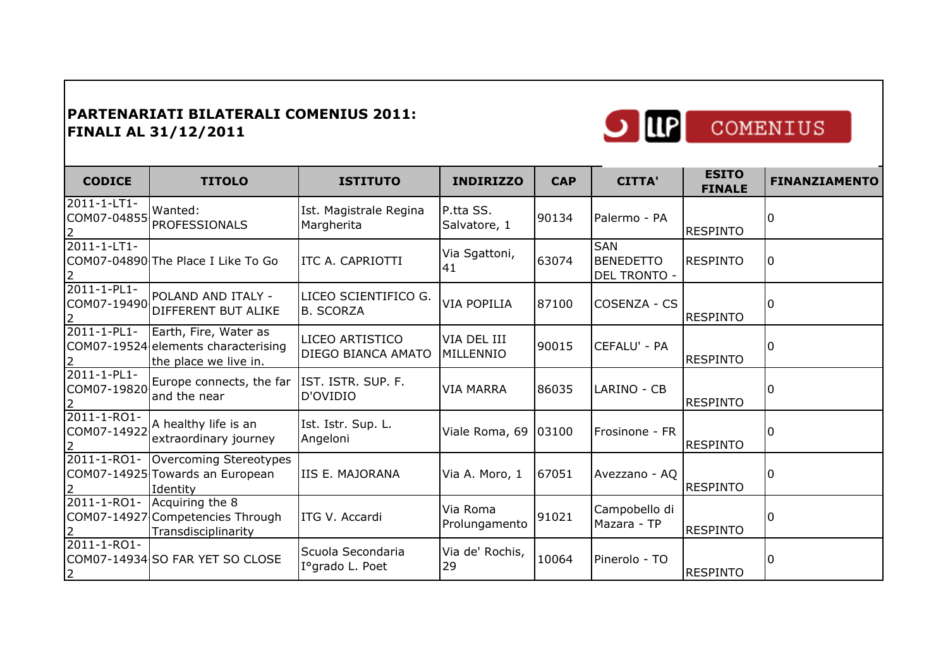

| COMENIUS |  |
|----------|--|
|          |  |

| <b>CODICE</b>                                | <b>TITOLO</b>                                                                         | <b>ISTITUTO</b>                          | <b>INDIRIZZO</b>          | <b>CAP</b> | <b>CITTA'</b>                                         | <b>ESITO</b><br><b>FINALE</b> | <b>FINANZIAMENTO</b> |
|----------------------------------------------|---------------------------------------------------------------------------------------|------------------------------------------|---------------------------|------------|-------------------------------------------------------|-------------------------------|----------------------|
| 2011-1-LT1-<br>COM07-04855<br>$\overline{2}$ | Wanted:<br><b>PROFESSIONALS</b>                                                       | Ist. Magistrale Regina<br>Margherita     | P.tta SS.<br>Salvatore, 1 | 90134      | Palermo - PA                                          | <b>RESPINTO</b>               | 0                    |
| 2011-1-LT1-<br>2                             | COM07-04890 The Place I Like To Go                                                    | ITC A. CAPRIOTTI                         | Via Sgattoni,<br> 41      | 63074      | <b>SAN</b><br><b>BENEDETTO</b><br><b>DEL TRONTO -</b> | <b>RESPINTO</b>               | 10                   |
| $2011 - 1 - PL1 -$<br>COM07-19490            | POLAND AND ITALY -<br><b>DIFFERENT BUT ALIKE</b>                                      | LICEO SCIENTIFICO G.<br><b>B. SCORZA</b> | <b>VIA POPILIA</b>        | 87100      | COSENZA - CS                                          | <b>RESPINTO</b>               | ۱O                   |
| 2011-1-PL1-                                  | Earth, Fire, Water as<br>COM07-19524 elements characterising<br>the place we live in. | LICEO ARTISTICO<br>DIEGO BIANCA AMATO    | VIA DEL III<br>MILLENNIO  | 90015      | CEFALU' - PA                                          | <b>RESPINTO</b>               | $\Omega$             |
| 2011-1-PL1-<br>COM07-19820                   | Europe connects, the far<br>and the near                                              | IST. ISTR. SUP. F.<br>D'OVIDIO           | <b>VIA MARRA</b>          | 86035      | LARINO - CB                                           | <b>RESPINTO</b>               |                      |
| 2011-1-RO1-<br>COM07-14922<br>$\overline{2}$ | A healthy life is an<br>extraordinary journey                                         | Ist. Istr. Sup. L.<br>Angeloni           | Viale Roma, 69            | 03100      | Frosinone - FR                                        | <b>RESPINTO</b>               | 0                    |
| 2011-1-RO1-                                  | Overcoming Stereotypes<br>COM07-14925 Towards an European<br>Identity                 | <b>IIS E. MAJORANA</b>                   | Via A. Moro, 1            | 67051      | Avezzano - AQ                                         | <b>RESPINTO</b>               | 0                    |
| $2011 - 1 - RO1 -$                           | Acquiring the 8<br>COM07-14927 Competencies Through<br>Transdisciplinarity            | ITG V. Accardi                           | Via Roma<br>Prolungamento | 91021      | Campobello di<br>Mazara - TP                          | <b>RESPINTO</b>               | l N                  |
| 2011-1-RO1-<br>$\overline{2}$                | COM07-14934 SO FAR YET SO CLOSE                                                       | Scuola Secondaria<br>Iº grado L. Poet    | Via de' Rochis,<br>29     | 10064      | Pinerolo - TO                                         | <b>RESPINTO</b>               | $\Omega$             |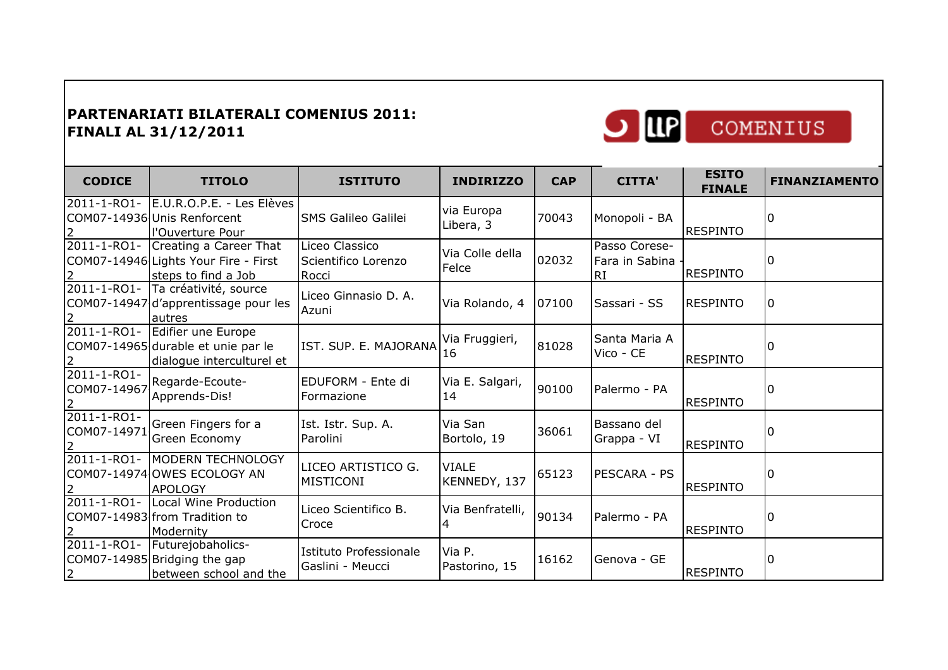

| <b>CODICE</b>                                | <b>TITOLO</b>                                                                         | <b>ISTITUTO</b>                                | <b>INDIRIZZO</b>             | <b>CAP</b> | <b>CITTA'</b>                         | <b>ESITO</b><br><b>FINALE</b> | <b>FINANZIAMENTO</b> |
|----------------------------------------------|---------------------------------------------------------------------------------------|------------------------------------------------|------------------------------|------------|---------------------------------------|-------------------------------|----------------------|
| 2011-1-RO1-                                  | E.U.R.O.P.E. - Les Elèves<br>COM07-14936 Unis Renforcent<br>l'Ouverture Pour          | <b>SMS Galileo Galilei</b>                     | via Europa<br>Libera, 3      | 70043      | Monopoli - BA                         | <b>RESPINTO</b>               | ΙO                   |
| 2011-1-RO1-                                  | Creating a Career That<br>COM07-14946 Lights Your Fire - First<br>steps to find a Job | Liceo Classico<br>Scientifico Lorenzo<br>Rocci | Via Colle della<br>Felce     | 02032      | Passo Corese-<br>Fara in Sabina<br>RI | <b>RESPINTO</b>               | I۵                   |
|                                              | 2011-1-RO1- Ta créativité, source<br>COM07-14947 d'apprentissage pour les<br>autres   | Liceo Ginnasio D. A.<br>Azuni                  | Via Rolando, 4               | 07100      | Sassari - SS                          | <b>RESPINTO</b>               | 10                   |
| 2011-1-RO1-                                  | Edifier une Europe<br>COM07-14965 durable et unie par le<br>dialogue interculturel et | IST. SUP. E. MAJORANA                          | Via Fruggieri,<br>16         | 81028      | Santa Maria A<br>Vico - CE            | <b>RESPINTO</b>               | I٥                   |
| 2011-1-RO1-<br>COM07-14967<br>$\overline{2}$ | Regarde-Ecoute-<br>Apprends-Dis!                                                      | EDUFORM - Ente di<br>Formazione                | Via E. Salgari,<br>14        | 90100      | Palermo - PA                          | <b>RESPINTO</b>               |                      |
| 2011-1-RO1-<br>COM07-14971<br>2              | Green Fingers for a<br>Green Economy                                                  | Ist. Istr. Sup. A.<br>Parolini                 | Via San<br>Bortolo, 19       | 36061      | Bassano del<br>Grappa - VI            | <b>RESPINTO</b>               | 0                    |
| 2011-1-RO1-                                  | <b>MODERN TECHNOLOGY</b><br>COM07-14974 OWES ECOLOGY AN<br><b>APOLOGY</b>             | LICEO ARTISTICO G.<br>MISTICONI                | <b>VIALE</b><br>KENNEDY, 137 | 65123      | PESCARA - PS                          | <b>RESPINTO</b>               | 10                   |
| 2011-1-RO1-                                  | Local Wine Production<br>COM07-14983 from Tradition to<br>Modernity                   | Liceo Scientifico B.<br>Croce                  | Via Benfratelli,             | 90134      | Palermo - PA                          | <b>RESPINTO</b>               | I٥                   |
| 2011-1-RO1-<br>$\overline{2}$                | Futurejobaholics-<br>COM07-14985 Bridging the gap<br>between school and the           | Istituto Professionale<br>Gaslini - Meucci     | Via P.<br>Pastorino, 15      | 16162      | Genova - GE                           | <b>RESPINTO</b>               | I٥                   |